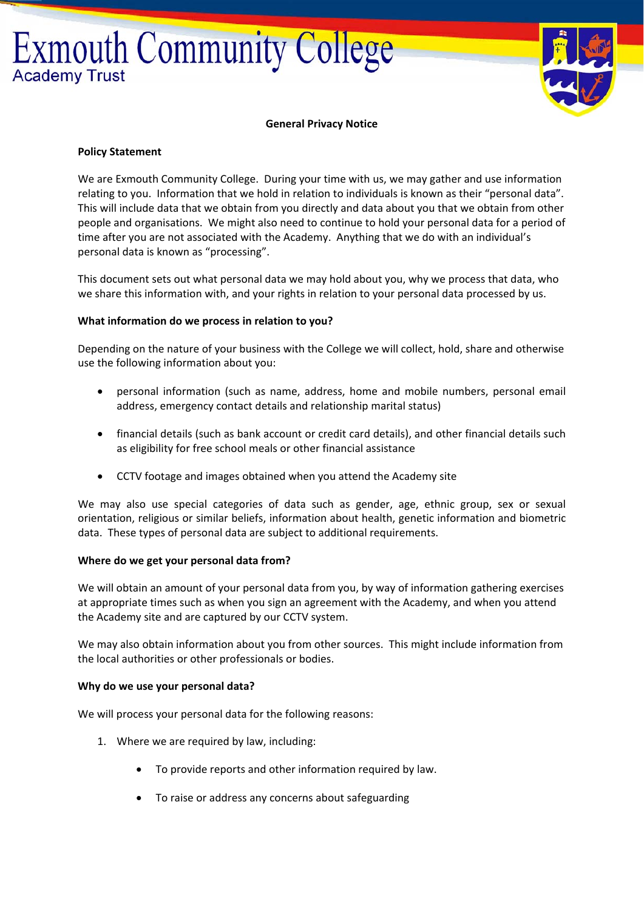# **Exmouth Community College Academy Trust**



#### **General Privacy Notice**

#### **Policy Statement**

We are Exmouth Community College. During your time with us, we may gather and use information relating to you. Information that we hold in relation to individuals is known as their "personal data". This will include data that we obtain from you directly and data about you that we obtain from other people and organisations. We might also need to continue to hold your personal data for a period of time after you are not associated with the Academy. Anything that we do with an individual's personal data is known as "processing".

This document sets out what personal data we may hold about you, why we process that data, who we share this information with, and your rights in relation to your personal data processed by us.

#### **What information do we process in relation to you?**

Depending on the nature of your business with the College we will collect, hold, share and otherwise use the following information about you:

- personal information (such as name, address, home and mobile numbers, personal email address, emergency contact details and relationship marital status)
- financial details (such as bank account or credit card details), and other financial details such as eligibility for free school meals or other financial assistance
- CCTV footage and images obtained when you attend the Academy site

We may also use special categories of data such as gender, age, ethnic group, sex or sexual orientation, religious or similar beliefs, information about health, genetic information and biometric data. These types of personal data are subject to additional requirements.

#### **Where do we get your personal data from?**

We will obtain an amount of your personal data from you, by way of information gathering exercises at appropriate times such as when you sign an agreement with the Academy, and when you attend the Academy site and are captured by our CCTV system.

We may also obtain information about you from other sources. This might include information from the local authorities or other professionals or bodies.

#### **Why do we use your personal data?**

We will process your personal data for the following reasons:

- 1. Where we are required by law, including:
	- To provide reports and other information required by law.
	- To raise or address any concerns about safeguarding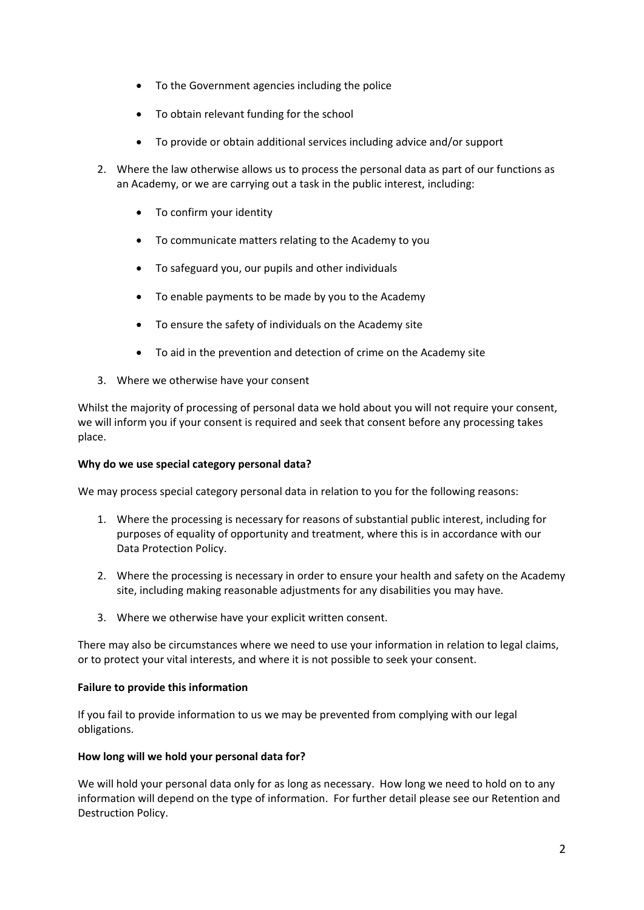- To the Government agencies including the police
- To obtain relevant funding for the school
- To provide or obtain additional services including advice and/or support
- 2. Where the law otherwise allows us to process the personal data as part of our functions as an Academy, or we are carrying out a task in the public interest, including:
	- To confirm your identity
	- To communicate matters relating to the Academy to you
	- To safeguard you, our pupils and other individuals
	- To enable payments to be made by you to the Academy
	- To ensure the safety of individuals on the Academy site
	- To aid in the prevention and detection of crime on the Academy site
- 3. Where we otherwise have your consent

Whilst the majority of processing of personal data we hold about you will not require your consent, we will inform you if your consent is required and seek that consent before any processing takes place.

# **Why do we use special category personal data?**

We may process special category personal data in relation to you for the following reasons:

- 1. Where the processing is necessary for reasons of substantial public interest, including for purposes of equality of opportunity and treatment, where this is in accordance with our Data Protection Policy.
- 2. Where the processing is necessary in order to ensure your health and safety on the Academy site, including making reasonable adjustments for any disabilities you may have.
- 3. Where we otherwise have your explicit written consent.

There may also be circumstances where we need to use your information in relation to legal claims, or to protect your vital interests, and where it is not possible to seek your consent.

#### **Failure to provide this information**

If you fail to provide information to us we may be prevented from complying with our legal obligations.

# **How long will we hold your personal data for?**

We will hold your personal data only for as long as necessary. How long we need to hold on to any information will depend on the type of information. For further detail please see our Retention and Destruction Policy.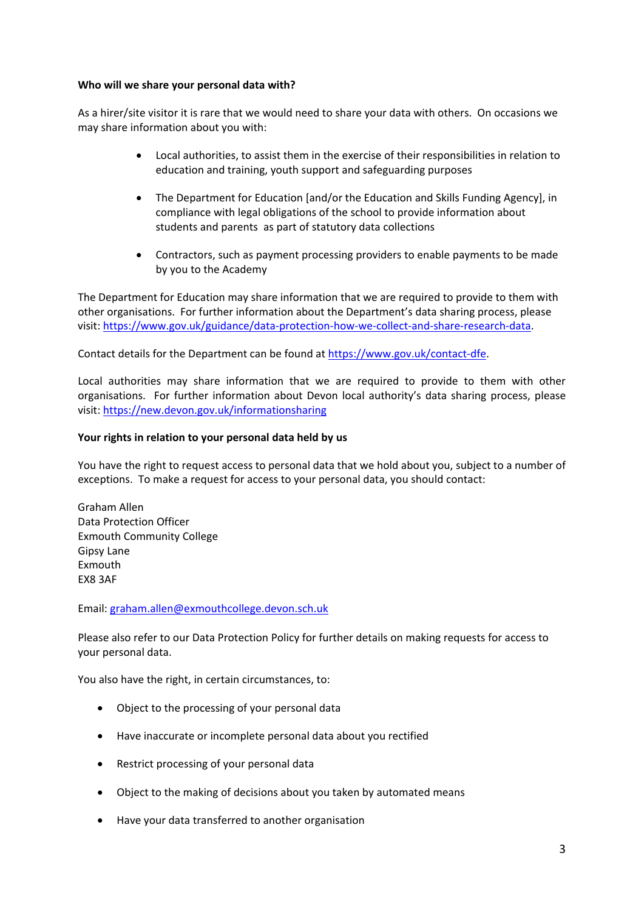### **Who will we share your personal data with?**

As a hirer/site visitor it is rare that we would need to share your data with others. On occasions we may share information about you with:

- Local authorities, to assist them in the exercise of their responsibilities in relation to education and training, youth support and safeguarding purposes
- The Department for Education [and/or the Education and Skills Funding Agency], in compliance with legal obligations of the school to provide information about students and parents as part of statutory data collections
- Contractors, such as payment processing providers to enable payments to be made by you to the Academy

The Department for Education may share information that we are required to provide to them with other organisations. For further information about the Department's data sharing process, please visit: https://www.gov.uk/guidance/data‐protection‐how‐we‐collect‐and‐share‐research‐data.

Contact details for the Department can be found at https://www.gov.uk/contact-dfe.

Local authorities may share information that we are required to provide to them with other organisations. For further information about Devon local authority's data sharing process, please visit: https://new.devon.gov.uk/informationsharing

# **Your rights in relation to your personal data held by us**

You have the right to request access to personal data that we hold about you, subject to a number of exceptions. To make a request for access to your personal data, you should contact:

Graham Allen Data Protection Officer Exmouth Community College Gipsy Lane Exmouth EX8 3AF

Email: graham.allen@exmouthcollege.devon.sch.uk

Please also refer to our Data Protection Policy for further details on making requests for access to your personal data.

You also have the right, in certain circumstances, to:

- Object to the processing of your personal data
- Have inaccurate or incomplete personal data about you rectified
- Restrict processing of your personal data
- Object to the making of decisions about you taken by automated means
- Have your data transferred to another organisation